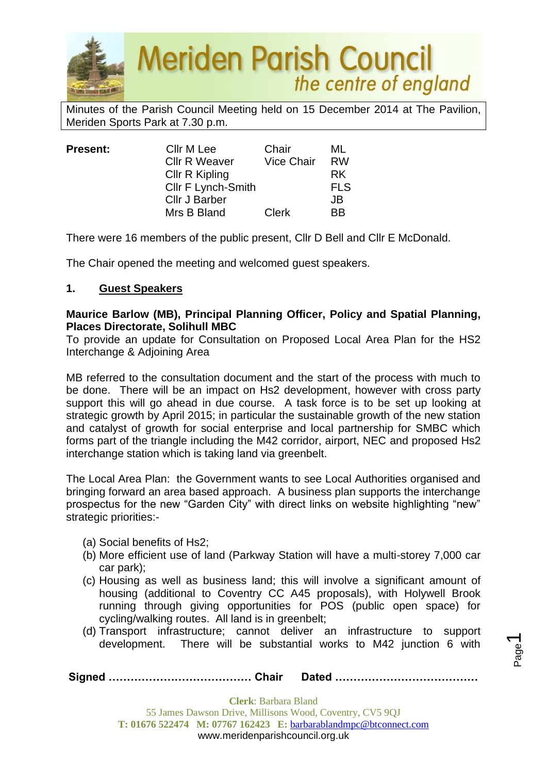

Minutes of the Parish Council Meeting held on 15 December 2014 at The Pavilion, Meriden Sports Park at 7.30 p.m.

| <b>Present:</b> | Cllr M Lee           | Chair             | ML         |
|-----------------|----------------------|-------------------|------------|
|                 | <b>Cllr R Weaver</b> | <b>Vice Chair</b> | <b>RW</b>  |
|                 | Cllr R Kipling       |                   | <b>RK</b>  |
|                 | Cllr F Lynch-Smith   |                   | <b>FLS</b> |
|                 | Cllr J Barber        |                   | JB         |
|                 | Mrs B Bland          | <b>Clerk</b>      | <b>BB</b>  |

There were 16 members of the public present, Cllr D Bell and Cllr E McDonald.

The Chair opened the meeting and welcomed guest speakers.

## **1. Guest Speakers**

#### **Maurice Barlow (MB), Principal Planning Officer, Policy and Spatial Planning, Places Directorate, Solihull MBC**

To provide an update for Consultation on Proposed Local Area Plan for the HS2 Interchange & Adjoining Area

MB referred to the consultation document and the start of the process with much to be done. There will be an impact on Hs2 development, however with cross party support this will go ahead in due course. A task force is to be set up looking at strategic growth by April 2015; in particular the sustainable growth of the new station and catalyst of growth for social enterprise and local partnership for SMBC which forms part of the triangle including the M42 corridor, airport, NEC and proposed Hs2 interchange station which is taking land via greenbelt.

The Local Area Plan: the Government wants to see Local Authorities organised and bringing forward an area based approach. A business plan supports the interchange prospectus for the new "Garden City" with direct links on website highlighting "new" strategic priorities:-

- (a) Social benefits of Hs2;
- (b) More efficient use of land (Parkway Station will have a multi-storey 7,000 car car park);
- (c) Housing as well as business land; this will involve a significant amount of housing (additional to Coventry CC A45 proposals), with Holywell Brook running through giving opportunities for POS (public open space) for cycling/walking routes. All land is in greenbelt;
- (d) Transport infrastructure; cannot deliver an infrastructure to support development. There will be substantial works to M42 junction 6 with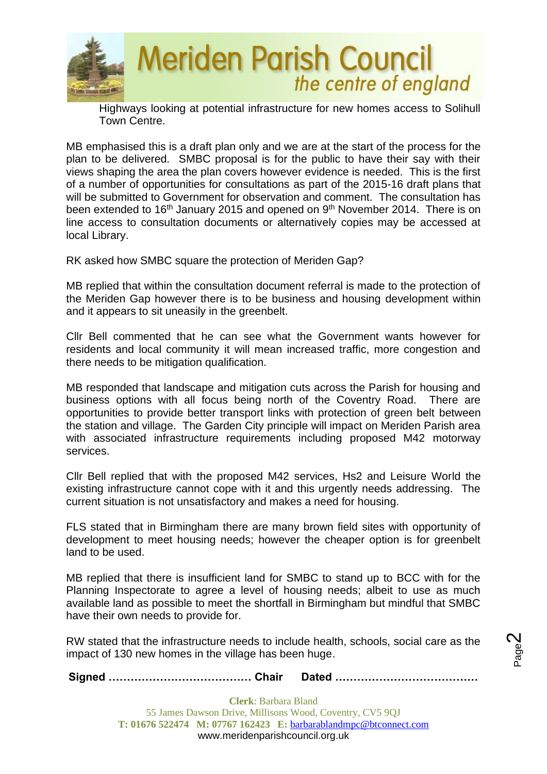

Highways looking at potential infrastructure for new homes access to Solihull Town Centre.

MB emphasised this is a draft plan only and we are at the start of the process for the plan to be delivered. SMBC proposal is for the public to have their say with their views shaping the area the plan covers however evidence is needed. This is the first of a number of opportunities for consultations as part of the 2015-16 draft plans that will be submitted to Government for observation and comment. The consultation has been extended to  $16<sup>th</sup>$  January 2015 and opened on  $9<sup>th</sup>$  November 2014. There is on line access to consultation documents or alternatively copies may be accessed at local Library.

RK asked how SMBC square the protection of Meriden Gap?

MB replied that within the consultation document referral is made to the protection of the Meriden Gap however there is to be business and housing development within and it appears to sit uneasily in the greenbelt.

Cllr Bell commented that he can see what the Government wants however for residents and local community it will mean increased traffic, more congestion and there needs to be mitigation qualification.

MB responded that landscape and mitigation cuts across the Parish for housing and business options with all focus being north of the Coventry Road. There are opportunities to provide better transport links with protection of green belt between the station and village. The Garden City principle will impact on Meriden Parish area with associated infrastructure requirements including proposed M42 motorway services.

Cllr Bell replied that with the proposed M42 services, Hs2 and Leisure World the existing infrastructure cannot cope with it and this urgently needs addressing. The current situation is not unsatisfactory and makes a need for housing.

FLS stated that in Birmingham there are many brown field sites with opportunity of development to meet housing needs; however the cheaper option is for greenbelt land to be used.

MB replied that there is insufficient land for SMBC to stand up to BCC with for the Planning Inspectorate to agree a level of housing needs; albeit to use as much available land as possible to meet the shortfall in Birmingham but mindful that SMBC have their own needs to provide for.

RW stated that the infrastructure needs to include health, schools, social care as the impact of 130 new homes in the village has been huge.

Page  $\boldsymbol{\sim}$ 

**Signed ………………………………… Chair Dated …………………………………**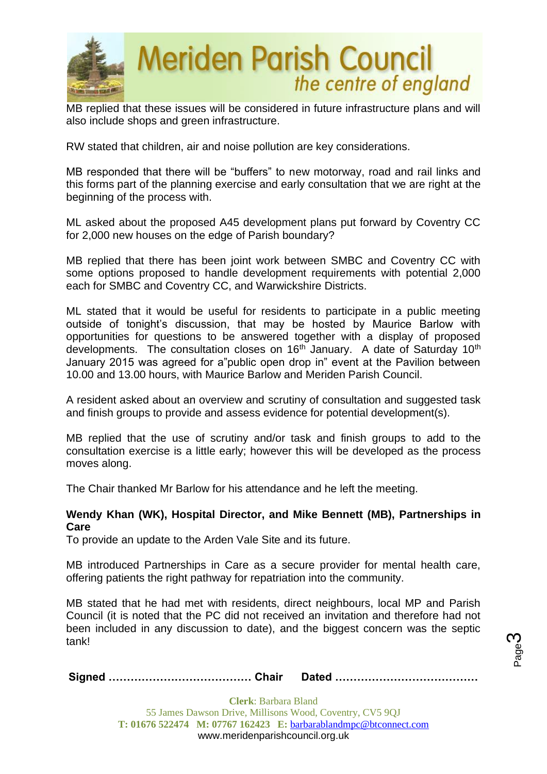

MB replied that these issues will be considered in future infrastructure plans and will also include shops and green infrastructure.

RW stated that children, air and noise pollution are key considerations.

MB responded that there will be "buffers" to new motorway, road and rail links and this forms part of the planning exercise and early consultation that we are right at the beginning of the process with.

ML asked about the proposed A45 development plans put forward by Coventry CC for 2,000 new houses on the edge of Parish boundary?

MB replied that there has been joint work between SMBC and Coventry CC with some options proposed to handle development requirements with potential 2,000 each for SMBC and Coventry CC, and Warwickshire Districts.

ML stated that it would be useful for residents to participate in a public meeting outside of tonight's discussion, that may be hosted by Maurice Barlow with opportunities for questions to be answered together with a display of proposed developments. The consultation closes on  $16<sup>th</sup>$  January. A date of Saturday  $10<sup>th</sup>$ January 2015 was agreed for a"public open drop in" event at the Pavilion between 10.00 and 13.00 hours, with Maurice Barlow and Meriden Parish Council.

A resident asked about an overview and scrutiny of consultation and suggested task and finish groups to provide and assess evidence for potential development(s).

MB replied that the use of scrutiny and/or task and finish groups to add to the consultation exercise is a little early; however this will be developed as the process moves along.

The Chair thanked Mr Barlow for his attendance and he left the meeting.

#### **Wendy Khan (WK), Hospital Director, and Mike Bennett (MB), Partnerships in Care**

To provide an update to the Arden Vale Site and its future.

MB introduced Partnerships in Care as a secure provider for mental health care, offering patients the right pathway for repatriation into the community.

MB stated that he had met with residents, direct neighbours, local MP and Parish Council (it is noted that the PC did not received an invitation and therefore had not been included in any discussion to date), and the biggest concern was the septic tank!

|--|--|

Page ო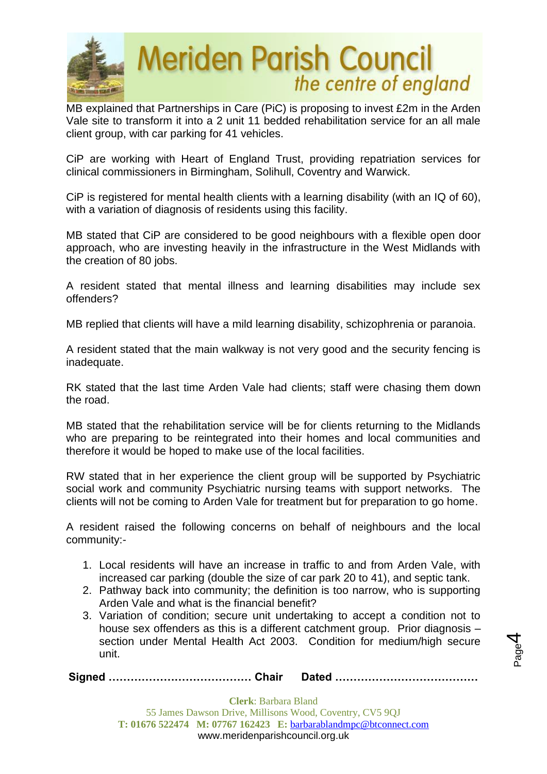

MB explained that Partnerships in Care (PiC) is proposing to invest £2m in the Arden Vale site to transform it into a 2 unit 11 bedded rehabilitation service for an all male client group, with car parking for 41 vehicles.

CiP are working with Heart of England Trust, providing repatriation services for clinical commissioners in Birmingham, Solihull, Coventry and Warwick.

CiP is registered for mental health clients with a learning disability (with an IQ of 60), with a variation of diagnosis of residents using this facility.

MB stated that CiP are considered to be good neighbours with a flexible open door approach, who are investing heavily in the infrastructure in the West Midlands with the creation of 80 jobs.

A resident stated that mental illness and learning disabilities may include sex offenders?

MB replied that clients will have a mild learning disability, schizophrenia or paranoia.

A resident stated that the main walkway is not very good and the security fencing is inadequate.

RK stated that the last time Arden Vale had clients; staff were chasing them down the road.

MB stated that the rehabilitation service will be for clients returning to the Midlands who are preparing to be reintegrated into their homes and local communities and therefore it would be hoped to make use of the local facilities.

RW stated that in her experience the client group will be supported by Psychiatric social work and community Psychiatric nursing teams with support networks. The clients will not be coming to Arden Vale for treatment but for preparation to go home.

A resident raised the following concerns on behalf of neighbours and the local community:-

- 1. Local residents will have an increase in traffic to and from Arden Vale, with increased car parking (double the size of car park 20 to 41), and septic tank.
- 2. Pathway back into community; the definition is too narrow, who is supporting Arden Vale and what is the financial benefit?
- 3. Variation of condition; secure unit undertaking to accept a condition not to house sex offenders as this is a different catchment group. Prior diagnosis section under Mental Health Act 2003. Condition for medium/high secure unit.

Page 4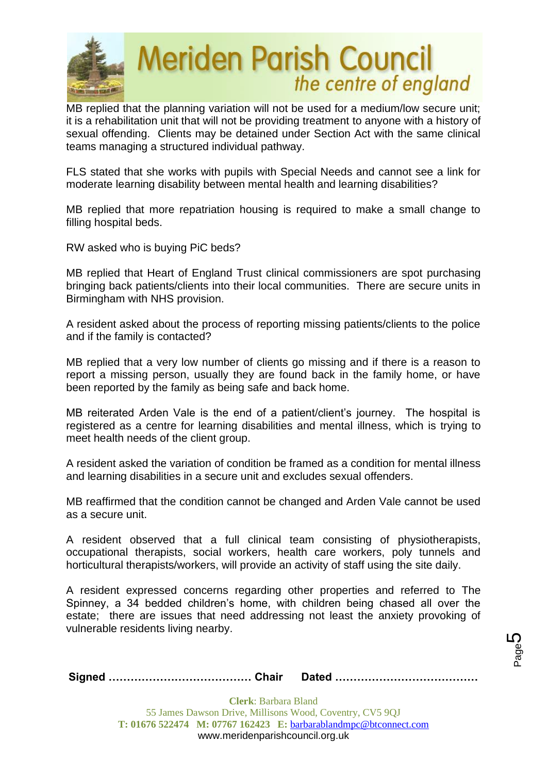

MB replied that the planning variation will not be used for a medium/low secure unit; it is a rehabilitation unit that will not be providing treatment to anyone with a history of sexual offending. Clients may be detained under Section Act with the same clinical teams managing a structured individual pathway.

FLS stated that she works with pupils with Special Needs and cannot see a link for moderate learning disability between mental health and learning disabilities?

MB replied that more repatriation housing is required to make a small change to filling hospital beds.

RW asked who is buying PiC beds?

MB replied that Heart of England Trust clinical commissioners are spot purchasing bringing back patients/clients into their local communities. There are secure units in Birmingham with NHS provision.

A resident asked about the process of reporting missing patients/clients to the police and if the family is contacted?

MB replied that a very low number of clients go missing and if there is a reason to report a missing person, usually they are found back in the family home, or have been reported by the family as being safe and back home.

MB reiterated Arden Vale is the end of a patient/client's journey. The hospital is registered as a centre for learning disabilities and mental illness, which is trying to meet health needs of the client group.

A resident asked the variation of condition be framed as a condition for mental illness and learning disabilities in a secure unit and excludes sexual offenders.

MB reaffirmed that the condition cannot be changed and Arden Vale cannot be used as a secure unit.

A resident observed that a full clinical team consisting of physiotherapists, occupational therapists, social workers, health care workers, poly tunnels and horticultural therapists/workers, will provide an activity of staff using the site daily.

A resident expressed concerns regarding other properties and referred to The Spinney, a 34 bedded children's home, with children being chased all over the estate; there are issues that need addressing not least the anxiety provoking of vulnerable residents living nearby.

|--|--|--|

Page 5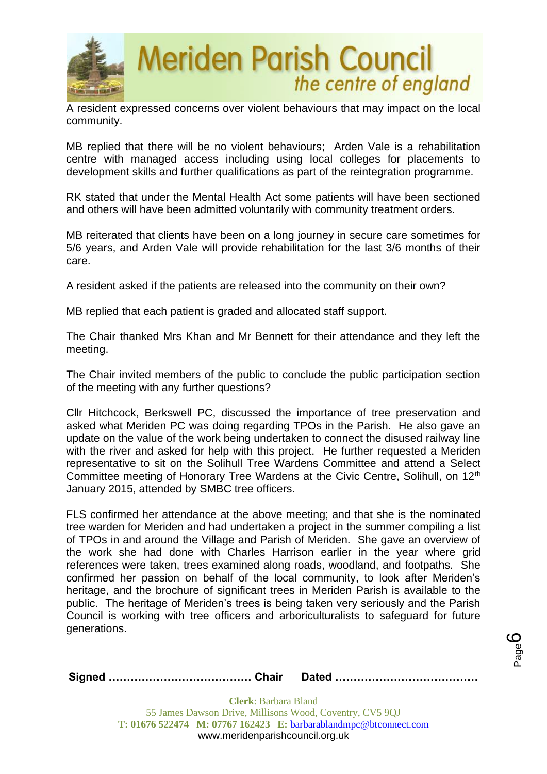

A resident expressed concerns over violent behaviours that may impact on the local community.

MB replied that there will be no violent behaviours; Arden Vale is a rehabilitation centre with managed access including using local colleges for placements to development skills and further qualifications as part of the reintegration programme.

RK stated that under the Mental Health Act some patients will have been sectioned and others will have been admitted voluntarily with community treatment orders.

MB reiterated that clients have been on a long journey in secure care sometimes for 5/6 years, and Arden Vale will provide rehabilitation for the last 3/6 months of their care.

A resident asked if the patients are released into the community on their own?

MB replied that each patient is graded and allocated staff support.

The Chair thanked Mrs Khan and Mr Bennett for their attendance and they left the meeting.

The Chair invited members of the public to conclude the public participation section of the meeting with any further questions?

Cllr Hitchcock, Berkswell PC, discussed the importance of tree preservation and asked what Meriden PC was doing regarding TPOs in the Parish. He also gave an update on the value of the work being undertaken to connect the disused railway line with the river and asked for help with this project. He further requested a Meriden representative to sit on the Solihull Tree Wardens Committee and attend a Select Committee meeting of Honorary Tree Wardens at the Civic Centre, Solihull, on 12<sup>th</sup> January 2015, attended by SMBC tree officers.

FLS confirmed her attendance at the above meeting; and that she is the nominated tree warden for Meriden and had undertaken a project in the summer compiling a list of TPOs in and around the Village and Parish of Meriden. She gave an overview of the work she had done with Charles Harrison earlier in the year where grid references were taken, trees examined along roads, woodland, and footpaths. She confirmed her passion on behalf of the local community, to look after Meriden's heritage, and the brochure of significant trees in Meriden Parish is available to the public. The heritage of Meriden's trees is being taken very seriously and the Parish Council is working with tree officers and arboriculturalists to safeguard for future generations.

**Signed ………………………………… Chair Dated …………………………………**

Page ပ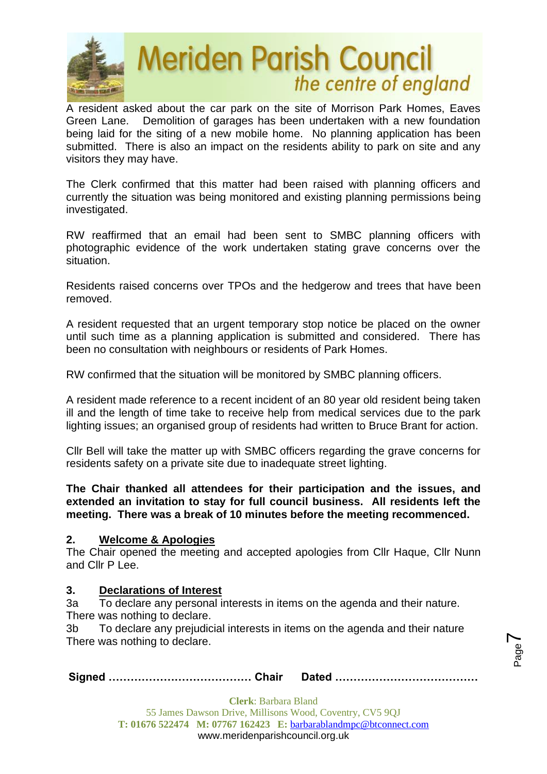

A resident asked about the car park on the site of Morrison Park Homes, Eaves Green Lane. Demolition of garages has been undertaken with a new foundation being laid for the siting of a new mobile home. No planning application has been submitted. There is also an impact on the residents ability to park on site and any visitors they may have.

The Clerk confirmed that this matter had been raised with planning officers and currently the situation was being monitored and existing planning permissions being investigated.

RW reaffirmed that an email had been sent to SMBC planning officers with photographic evidence of the work undertaken stating grave concerns over the situation.

Residents raised concerns over TPOs and the hedgerow and trees that have been removed.

A resident requested that an urgent temporary stop notice be placed on the owner until such time as a planning application is submitted and considered. There has been no consultation with neighbours or residents of Park Homes.

RW confirmed that the situation will be monitored by SMBC planning officers.

A resident made reference to a recent incident of an 80 year old resident being taken ill and the length of time take to receive help from medical services due to the park lighting issues; an organised group of residents had written to Bruce Brant for action.

Cllr Bell will take the matter up with SMBC officers regarding the grave concerns for residents safety on a private site due to inadequate street lighting.

**The Chair thanked all attendees for their participation and the issues, and extended an invitation to stay for full council business. All residents left the meeting. There was a break of 10 minutes before the meeting recommenced.**

#### **2. Welcome & Apologies**

The Chair opened the meeting and accepted apologies from Cllr Haque, Cllr Nunn and Cllr P Lee.

#### **3. Declarations of Interest**

3a To declare any personal interests in items on the agenda and their nature. There was nothing to declare.

3b To declare any prejudicial interests in items on the agenda and their nature There was nothing to declare.

|--|--|--|

Page  $\blacktriangleright$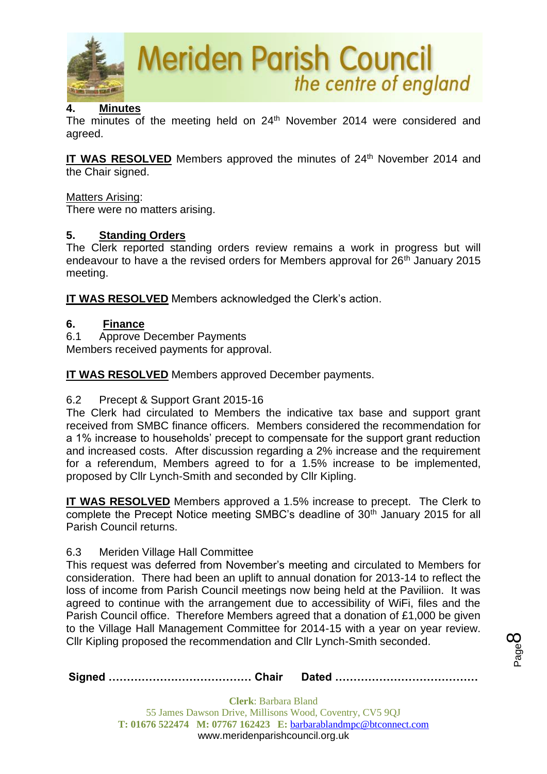

# **4. Minutes**

The minutes of the meeting held on 24<sup>th</sup> November 2014 were considered and agreed.

IT WAS RESOLVED Members approved the minutes of 24<sup>th</sup> November 2014 and the Chair signed.

#### Matters Arising:

There were no matters arising.

## **5. Standing Orders**

The Clerk reported standing orders review remains a work in progress but will endeavour to have a the revised orders for Members approval for 26<sup>th</sup> January 2015 meeting.

**IT WAS RESOLVED** Members acknowledged the Clerk's action.

#### **6. Finance**

6.1 Approve December Payments

Members received payments for approval.

**IT WAS RESOLVED** Members approved December payments.

# 6.2 Precept & Support Grant 2015-16

The Clerk had circulated to Members the indicative tax base and support grant received from SMBC finance officers. Members considered the recommendation for a 1% increase to households' precept to compensate for the support grant reduction and increased costs. After discussion regarding a 2% increase and the requirement for a referendum, Members agreed to for a 1.5% increase to be implemented, proposed by Cllr Lynch-Smith and seconded by Cllr Kipling.

**IT WAS RESOLVED** Members approved a 1.5% increase to precept. The Clerk to complete the Precept Notice meeting SMBC's deadline of 30<sup>th</sup> January 2015 for all Parish Council returns.

# 6.3 Meriden Village Hall Committee

This request was deferred from November's meeting and circulated to Members for consideration. There had been an uplift to annual donation for 2013-14 to reflect the loss of income from Parish Council meetings now being held at the Paviliion. It was agreed to continue with the arrangement due to accessibility of WiFi, files and the Parish Council office. Therefore Members agreed that a donation of £1,000 be given to the Village Hall Management Committee for 2014-15 with a year on year review. Cllr Kipling proposed the recommendation and Cllr Lynch-Smith seconded.

**Signed ………………………………… Chair Dated …………………………………**

Page  $\infty$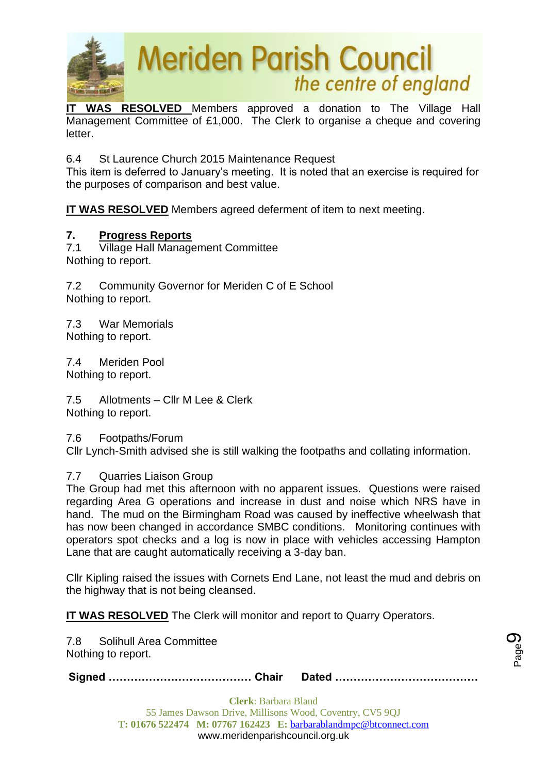

**IT WAS RESOLVED** Members approved a donation to The Village Hall Management Committee of £1,000. The Clerk to organise a cheque and covering letter.

6.4 St Laurence Church 2015 Maintenance Request

This item is deferred to January's meeting. It is noted that an exercise is required for the purposes of comparison and best value.

**IT WAS RESOLVED** Members agreed deferment of item to next meeting.

## **7. Progress Reports**

7.1 Village Hall Management Committee Nothing to report.

7.2 Community Governor for Meriden C of E School Nothing to report.

7.3 War Memorials Nothing to report.

7.4 Meriden Pool Nothing to report.

7.5 Allotments – Cllr M Lee & Clerk Nothing to report.

7.6 Footpaths/Forum

Cllr Lynch-Smith advised she is still walking the footpaths and collating information.

#### 7.7 Quarries Liaison Group

The Group had met this afternoon with no apparent issues. Questions were raised regarding Area G operations and increase in dust and noise which NRS have in hand. The mud on the Birmingham Road was caused by ineffective wheelwash that has now been changed in accordance SMBC conditions. Monitoring continues with operators spot checks and a log is now in place with vehicles accessing Hampton Lane that are caught automatically receiving a 3-day ban.

Cllr Kipling raised the issues with Cornets End Lane, not least the mud and debris on the highway that is not being cleansed.

**IT WAS RESOLVED** The Clerk will monitor and report to Quarry Operators.

7.8 Solihull Area Committee Nothing to report.

**Signed ………………………………… Chair Dated …………………………………**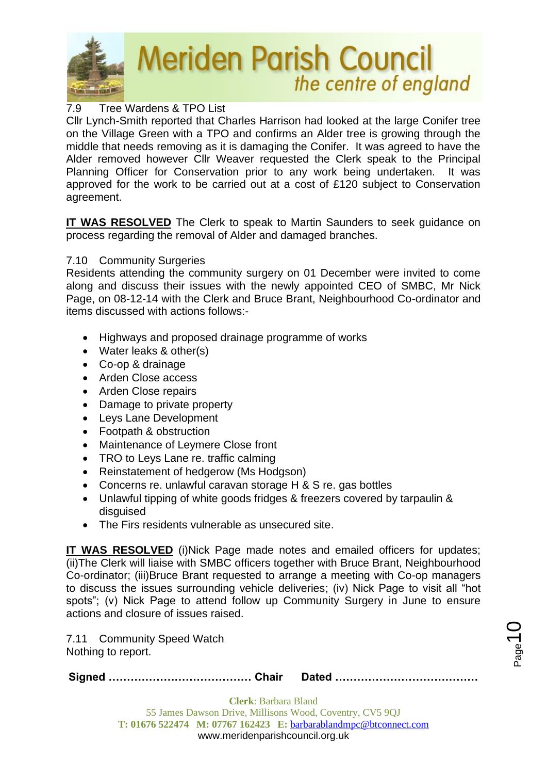

# 7.9 Tree Wardens & TPO List

Cllr Lynch-Smith reported that Charles Harrison had looked at the large Conifer tree on the Village Green with a TPO and confirms an Alder tree is growing through the middle that needs removing as it is damaging the Conifer. It was agreed to have the Alder removed however Cllr Weaver requested the Clerk speak to the Principal Planning Officer for Conservation prior to any work being undertaken. It was approved for the work to be carried out at a cost of £120 subject to Conservation agreement.

**IT WAS RESOLVED** The Clerk to speak to Martin Saunders to seek guidance on process regarding the removal of Alder and damaged branches.

#### 7.10 Community Surgeries

Residents attending the community surgery on 01 December were invited to come along and discuss their issues with the newly appointed CEO of SMBC, Mr Nick Page, on 08-12-14 with the Clerk and Bruce Brant, Neighbourhood Co-ordinator and items discussed with actions follows:-

- Highways and proposed drainage programme of works
- Water leaks & other(s)
- Co-op & drainage
- Arden Close access
- Arden Close repairs
- Damage to private property
- Leys Lane Development
- Footpath & obstruction
- Maintenance of Leymere Close front
- TRO to Levs Lane re. traffic calming
- Reinstatement of hedgerow (Ms Hodgson)
- Concerns re. unlawful caravan storage H & S re. gas bottles
- Unlawful tipping of white goods fridges & freezers covered by tarpaulin & disquised
- The Firs residents vulnerable as unsecured site.

**IT WAS RESOLVED** (i)Nick Page made notes and emailed officers for updates; (ii)The Clerk will liaise with SMBC officers together with Bruce Brant, Neighbourhood Co-ordinator; (iii)Bruce Brant requested to arrange a meeting with Co-op managers to discuss the issues surrounding vehicle deliveries; (iv) Nick Page to visit all "hot spots": (v) Nick Page to attend follow up Community Surgery in June to ensure actions and closure of issues raised.

7.11 Community Speed Watch Nothing to report.

**Signed ………………………………… Chair Dated …………………………………**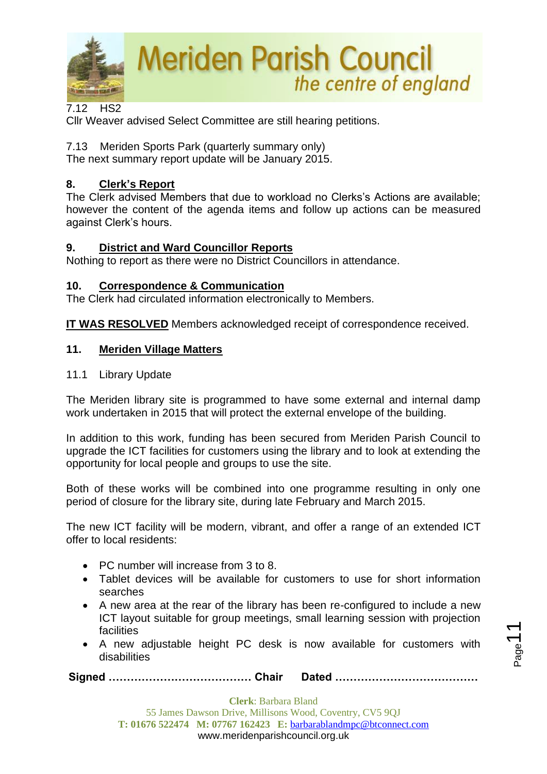

7.12 HS2

Cllr Weaver advised Select Committee are still hearing petitions.

7.13Meriden Sports Park (quarterly summary only) The next summary report update will be January 2015.

# **8. Clerk's Report**

The Clerk advised Members that due to workload no Clerks's Actions are available; however the content of the agenda items and follow up actions can be measured against Clerk's hours.

## **9. District and Ward Councillor Reports**

Nothing to report as there were no District Councillors in attendance.

## **10. Correspondence & Communication**

The Clerk had circulated information electronically to Members.

**IT WAS RESOLVED** Members acknowledged receipt of correspondence received.

## **11. Meriden Village Matters**

11.1 Library Update

The Meriden library site is programmed to have some external and internal damp work undertaken in 2015 that will protect the external envelope of the building.

In addition to this work, funding has been secured from Meriden Parish Council to upgrade the ICT facilities for customers using the library and to look at extending the opportunity for local people and groups to use the site.

Both of these works will be combined into one programme resulting in only one period of closure for the library site, during late February and March 2015.

The new ICT facility will be modern, vibrant, and offer a range of an extended ICT offer to local residents:

- PC number will increase from 3 to 8.
- Tablet devices will be available for customers to use for short information searches
- A new area at the rear of the library has been re-configured to include a new ICT layout suitable for group meetings, small learning session with projection facilities
- A new adjustable height PC desk is now available for customers with disabilities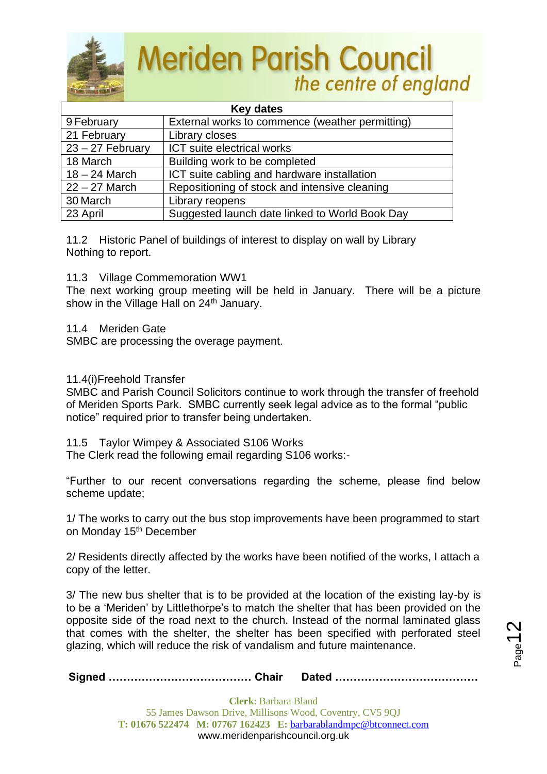

| <b>Key dates</b>   |                                                 |  |
|--------------------|-------------------------------------------------|--|
| 9 February         | External works to commence (weather permitting) |  |
| 21 February        | Library closes                                  |  |
| $23 - 27$ February | ICT suite electrical works                      |  |
| 18 March           | Building work to be completed                   |  |
| $18 - 24$ March    | ICT suite cabling and hardware installation     |  |
| $22 - 27$ March    | Repositioning of stock and intensive cleaning   |  |
| 30 March           | Library reopens                                 |  |
| 23 April           | Suggested launch date linked to World Book Day  |  |

11.2 Historic Panel of buildings of interest to display on wall by Library Nothing to report.

11.3 Village Commemoration WW1

The next working group meeting will be held in January. There will be a picture show in the Village Hall on 24<sup>th</sup> January.

11.4 Meriden Gate

SMBC are processing the overage payment.

#### 11.4(i)Freehold Transfer

SMBC and Parish Council Solicitors continue to work through the transfer of freehold of Meriden Sports Park. SMBC currently seek legal advice as to the formal "public notice" required prior to transfer being undertaken.

11.5 Taylor Wimpey & Associated S106 Works

The Clerk read the following email regarding S106 works:-

"Further to our recent conversations regarding the scheme, please find below scheme update;

1/ The works to carry out the bus stop improvements have been programmed to start on Monday 15<sup>th</sup> December

2/ Residents directly affected by the works have been notified of the works, I attach a copy of the letter.

3/ The new bus shelter that is to be provided at the location of the existing lay-by is to be a 'Meriden' by Littlethorpe's to match the shelter that has been provided on the opposite side of the road next to the church. Instead of the normal laminated glass that comes with the shelter, the shelter has been specified with perforated steel glazing, which will reduce the risk of vandalism and future maintenance.

**Signed ………………………………… Chair Dated …………………………………**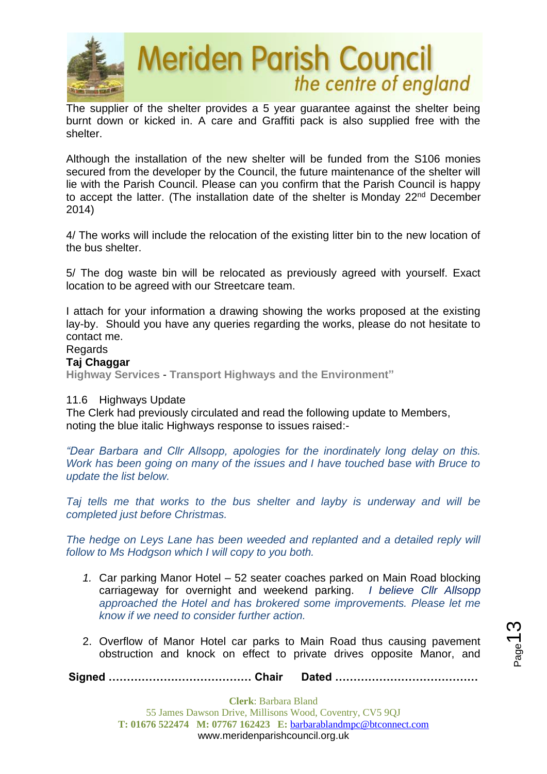

The supplier of the shelter provides a 5 year guarantee against the shelter being burnt down or kicked in. A care and Graffiti pack is also supplied free with the shelter.

Although the installation of the new shelter will be funded from the S106 monies secured from the developer by the Council, the future maintenance of the shelter will lie with the Parish Council. Please can you confirm that the Parish Council is happy to accept the latter. (The installation date of the shelter is Monday 22<sup>nd</sup> December 2014)

4/ The works will include the relocation of the existing litter bin to the new location of the bus shelter.

5/ The dog waste bin will be relocated as previously agreed with yourself. Exact location to be agreed with our Streetcare team.

I attach for your information a drawing showing the works proposed at the existing lay-by. Should you have any queries regarding the works, please do not hesitate to contact me.

# **Regards**

#### **Taj Chaggar**

**Highway Services** - **Transport Highways and the Environment"**

#### 11.6 Highways Update

The Clerk had previously circulated and read the following update to Members, noting the blue italic Highways response to issues raised:-

*"Dear Barbara and Cllr Allsopp, apologies for the inordinately long delay on this. Work has been going on many of the issues and I have touched base with Bruce to update the list below.*

*Taj tells me that works to the bus shelter and layby is underway and will be completed just before Christmas.*

*The hedge on Leys Lane has been weeded and replanted and a detailed reply will follow to Ms Hodgson which I will copy to you both.*

- *1.* Car parking Manor Hotel 52 seater coaches parked on Main Road blocking carriageway for overnight and weekend parking. *I believe Cllr Allsopp approached the Hotel and has brokered some improvements. Please let me know if we need to consider further action.*
- 2. Overflow of Manor Hotel car parks to Main Road thus causing pavement obstruction and knock on effect to private drives opposite Manor, and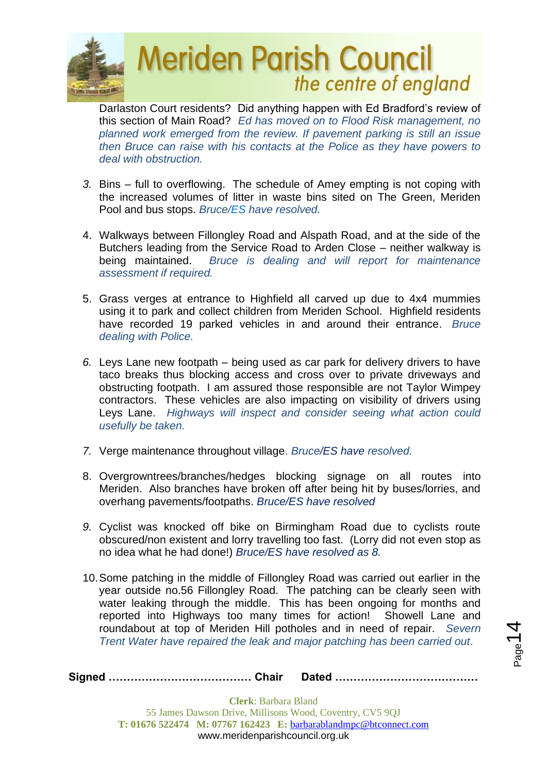

Darlaston Court residents? Did anything happen with Ed Bradford's review of this section of Main Road? *Ed has moved on to Flood Risk management, no planned work emerged from the review. If pavement parking is still an issue then Bruce can raise with his contacts at the Police as they have powers to deal with obstruction.*

- *3.* Bins full to overflowing. The schedule of Amey empting is not coping with the increased volumes of litter in waste bins sited on The Green, Meriden Pool and bus stops. *Bruce/ES have resolved.*
- 4. Walkways between Fillongley Road and Alspath Road, and at the side of the Butchers leading from the Service Road to Arden Close – neither walkway is being maintained. *Bruce is dealing and will report for maintenance assessment if required.*
- 5. Grass verges at entrance to Highfield all carved up due to 4x4 mummies using it to park and collect children from Meriden School. Highfield residents have recorded 19 parked vehicles in and around their entrance. *Bruce dealing with Police.*
- *6.* Leys Lane new footpath being used as car park for delivery drivers to have taco breaks thus blocking access and cross over to private driveways and obstructing footpath. I am assured those responsible are not Taylor Wimpey contractors. These vehicles are also impacting on visibility of drivers using Leys Lane. *Highways will inspect and consider seeing what action could usefully be taken.*
- *7.* Verge maintenance throughout village. *Bruce/ES have resolved.*
- 8. Overgrowntrees/branches/hedges blocking signage on all routes into Meriden. Also branches have broken off after being hit by buses/lorries, and overhang pavements/footpaths. *Bruce/ES have resolved*
- *9.* Cyclist was knocked off bike on Birmingham Road due to cyclists route obscured/non existent and lorry travelling too fast. (Lorry did not even stop as no idea what he had done!) *Bruce/ES have resolved as 8.*
- 10.Some patching in the middle of Fillongley Road was carried out earlier in the year outside no.56 Fillongley Road. The patching can be clearly seen with water leaking through the middle. This has been ongoing for months and reported into Highways too many times for action! Showell Lane and roundabout at top of Meriden Hill potholes and in need of repair. *Severn Trent Water have repaired the leak and major patching has been carried out*.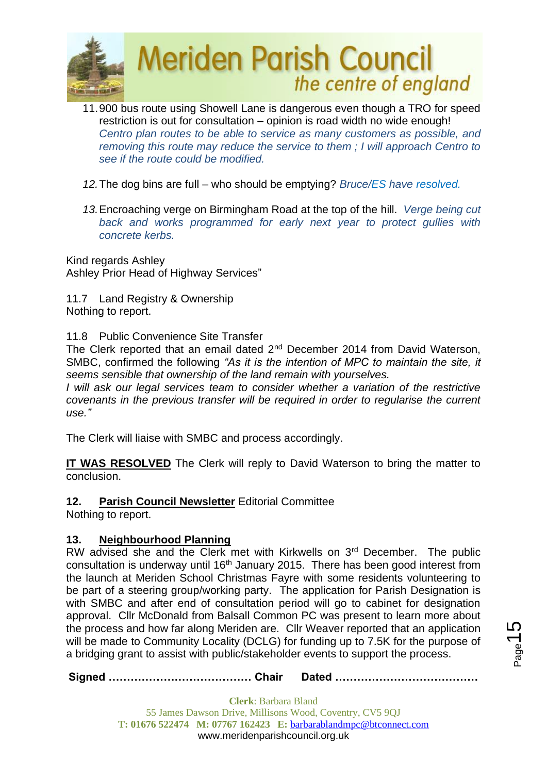

- 11.900 bus route using Showell Lane is dangerous even though a TRO for speed restriction is out for consultation – opinion is road width no wide enough! *Centro plan routes to be able to service as many customers as possible, and removing this route may reduce the service to them ; I will approach Centro to see if the route could be modified.*
- *12.*The dog bins are full who should be emptying? *Bruce/ES have resolved.*
- *13.*Encroaching verge on Birmingham Road at the top of the hill. *Verge being cut back and works programmed for early next year to protect gullies with concrete kerbs.*

Kind regards Ashley Ashley Prior Head of Highway Services"

11.7 Land Registry & Ownership Nothing to report.

#### 11.8 Public Convenience Site Transfer

The Clerk reported that an email dated 2<sup>nd</sup> December 2014 from David Waterson, SMBC, confirmed the following *"As it is the intention of MPC to maintain the site, it seems sensible that ownership of the land remain with yourselves.*

*I* will ask our legal services team to consider whether a variation of the restrictive *covenants in the previous transfer will be required in order to regularise the current use."*

The Clerk will liaise with SMBC and process accordingly.

**IT WAS RESOLVED** The Clerk will reply to David Waterson to bring the matter to conclusion.

# **12. Parish Council Newsletter** Editorial Committee

Nothing to report.

# **13. Neighbourhood Planning**

RW advised she and the Clerk met with Kirkwells on 3<sup>rd</sup> December. The public consultation is underway until 16<sup>th</sup> January 2015. There has been good interest from the launch at Meriden School Christmas Fayre with some residents volunteering to be part of a steering group/working party. The application for Parish Designation is with SMBC and after end of consultation period will go to cabinet for designation approval. Cllr McDonald from Balsall Common PC was present to learn more about the process and how far along Meriden are. Cllr Weaver reported that an application will be made to Community Locality (DCLG) for funding up to 7.5K for the purpose of a bridging grant to assist with public/stakeholder events to support the process.

**Signed ………………………………… Chair Dated …………………………………**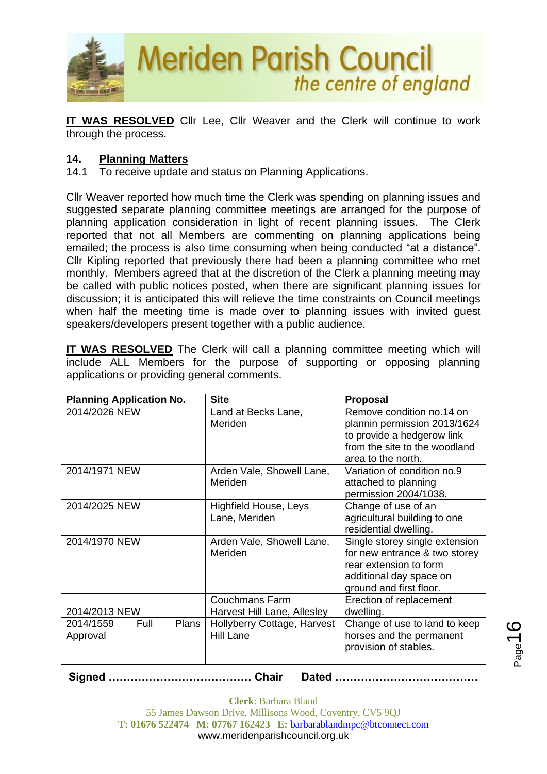

**IT WAS RESOLVED** Cllr Lee, Cllr Weaver and the Clerk will continue to work through the process.

## **14. Planning Matters**

14.1 To receive update and status on Planning Applications.

Cllr Weaver reported how much time the Clerk was spending on planning issues and suggested separate planning committee meetings are arranged for the purpose of planning application consideration in light of recent planning issues. The Clerk reported that not all Members are commenting on planning applications being emailed; the process is also time consuming when being conducted "at a distance". Cllr Kipling reported that previously there had been a planning committee who met monthly. Members agreed that at the discretion of the Clerk a planning meeting may be called with public notices posted, when there are significant planning issues for discussion; it is anticipated this will relieve the time constraints on Council meetings when half the meeting time is made over to planning issues with invited guest speakers/developers present together with a public audience.

**IT WAS RESOLVED** The Clerk will call a planning committee meeting which will include ALL Members for the purpose of supporting or opposing planning applications or providing general comments.

| <b>Planning Application No.</b>        | <b>Site</b>                                          | <b>Proposal</b>                                                                                                                                 |
|----------------------------------------|------------------------------------------------------|-------------------------------------------------------------------------------------------------------------------------------------------------|
| 2014/2026 NEW                          | Land at Becks Lane,<br>Meriden                       | Remove condition no.14 on<br>plannin permission 2013/1624<br>to provide a hedgerow link<br>from the site to the woodland<br>area to the north.  |
| 2014/1971 NEW                          | Arden Vale, Showell Lane,<br>Meriden                 | Variation of condition no.9<br>attached to planning<br>permission 2004/1038.                                                                    |
| 2014/2025 NEW                          | <b>Highfield House, Leys</b><br>Lane, Meriden        | Change of use of an<br>agricultural building to one<br>residential dwelling.                                                                    |
| 2014/1970 NEW                          | Arden Vale, Showell Lane,<br>Meriden                 | Single storey single extension<br>for new entrance & two storey<br>rear extension to form<br>additional day space on<br>ground and first floor. |
| 2014/2013 NEW                          | <b>Couchmans Farm</b><br>Harvest Hill Lane, Allesley | Erection of replacement<br>dwelling.                                                                                                            |
| Full<br>2014/1559<br>Plans<br>Approval | Hollyberry Cottage, Harvest<br>Hill Lane             | Change of use to land to keep<br>horses and the permanent<br>provision of stables.                                                              |

**Signed ………………………………… Chair Dated …………………………………**

**Clerk**: Barbara Bland 55 James Dawson Drive, Millisons Wood, Coventry, CV5 9QJ **T: 01676 522474 M: 07767 162423 E:** [barbarablandmpc@btconnect.com](mailto:barbarablandmpc@btconnect.com) www.meridenparishcouncil.org.uk

 $_{\rm Page}$ 16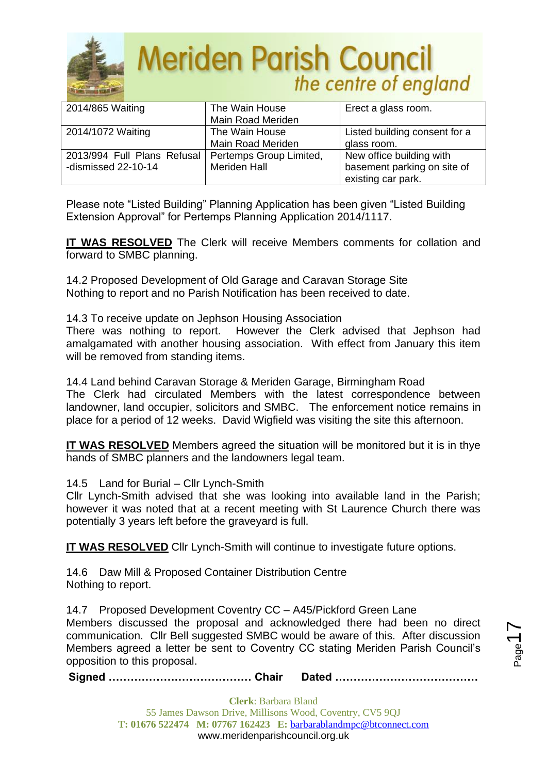

| 2014/865 Waiting                                      | The Wain House           | Erect a glass room.           |
|-------------------------------------------------------|--------------------------|-------------------------------|
|                                                       | <b>Main Road Meriden</b> |                               |
| 2014/1072 Waiting                                     | The Wain House           | Listed building consent for a |
|                                                       | Main Road Meriden        | glass room.                   |
| 2013/994 Full Plans Refusal   Pertemps Group Limited, |                          | New office building with      |
| -dismissed 22-10-14                                   | <b>Meriden Hall</b>      | basement parking on site of   |
|                                                       |                          | existing car park.            |

Please note "Listed Building" Planning Application has been given "Listed Building Extension Approval" for Pertemps Planning Application 2014/1117.

**IT WAS RESOLVED** The Clerk will receive Members comments for collation and forward to SMBC planning.

14.2 Proposed Development of Old Garage and Caravan Storage Site Nothing to report and no Parish Notification has been received to date.

14.3 To receive update on Jephson Housing Association

There was nothing to report. However the Clerk advised that Jephson had amalgamated with another housing association. With effect from January this item will be removed from standing items.

14.4 Land behind Caravan Storage & Meriden Garage, Birmingham Road The Clerk had circulated Members with the latest correspondence between landowner, land occupier, solicitors and SMBC. The enforcement notice remains in place for a period of 12 weeks. David Wigfield was visiting the site this afternoon.

**IT WAS RESOLVED** Members agreed the situation will be monitored but it is in thye hands of SMBC planners and the landowners legal team.

14.5 Land for Burial – Cllr Lynch-Smith

Cllr Lynch-Smith advised that she was looking into available land in the Parish; however it was noted that at a recent meeting with St Laurence Church there was potentially 3 years left before the graveyard is full.

**IT WAS RESOLVED** Cllr Lynch-Smith will continue to investigate future options.

14.6 Daw Mill & Proposed Container Distribution Centre Nothing to report.

14.7 Proposed Development Coventry CC – A45/Pickford Green Lane Members discussed the proposal and acknowledged there had been no direct communication. Cllr Bell suggested SMBC would be aware of this. After discussion Members agreed a letter be sent to Coventry CC stating Meriden Parish Council's opposition to this proposal.

**Signed ………………………………… Chair Dated …………………………………**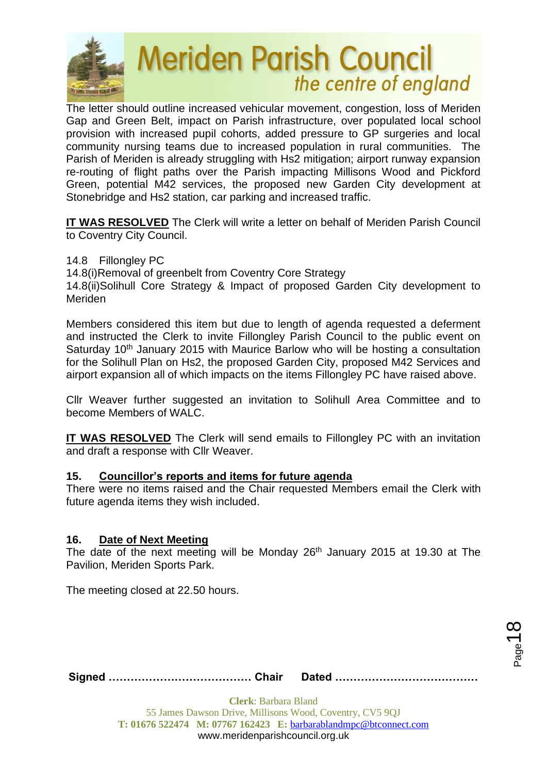

The letter should outline increased vehicular movement, congestion, loss of Meriden Gap and Green Belt, impact on Parish infrastructure, over populated local school provision with increased pupil cohorts, added pressure to GP surgeries and local community nursing teams due to increased population in rural communities. The Parish of Meriden is already struggling with Hs2 mitigation; airport runway expansion re-routing of flight paths over the Parish impacting Millisons Wood and Pickford Green, potential M42 services, the proposed new Garden City development at Stonebridge and Hs2 station, car parking and increased traffic.

**IT WAS RESOLVED** The Clerk will write a letter on behalf of Meriden Parish Council to Coventry City Council.

14.8 Fillongley PC

14.8(i)Removal of greenbelt from Coventry Core Strategy

14.8(ii)Solihull Core Strategy & Impact of proposed Garden City development to Meriden

Members considered this item but due to length of agenda requested a deferment and instructed the Clerk to invite Fillongley Parish Council to the public event on Saturday 10<sup>th</sup> January 2015 with Maurice Barlow who will be hosting a consultation for the Solihull Plan on Hs2, the proposed Garden City, proposed M42 Services and airport expansion all of which impacts on the items Fillongley PC have raised above.

Cllr Weaver further suggested an invitation to Solihull Area Committee and to become Members of WALC.

**IT WAS RESOLVED** The Clerk will send emails to Fillongley PC with an invitation and draft a response with Cllr Weaver.

#### **15. Councillor's reports and items for future agenda**

There were no items raised and the Chair requested Members email the Clerk with future agenda items they wish included.

#### **16. Date of Next Meeting**

The date of the next meeting will be Monday 26<sup>th</sup> January 2015 at 19.30 at The Pavilion, Meriden Sports Park.

The meeting closed at 22.50 hours.

**Signed ………………………………… Chair Dated …………………………………**